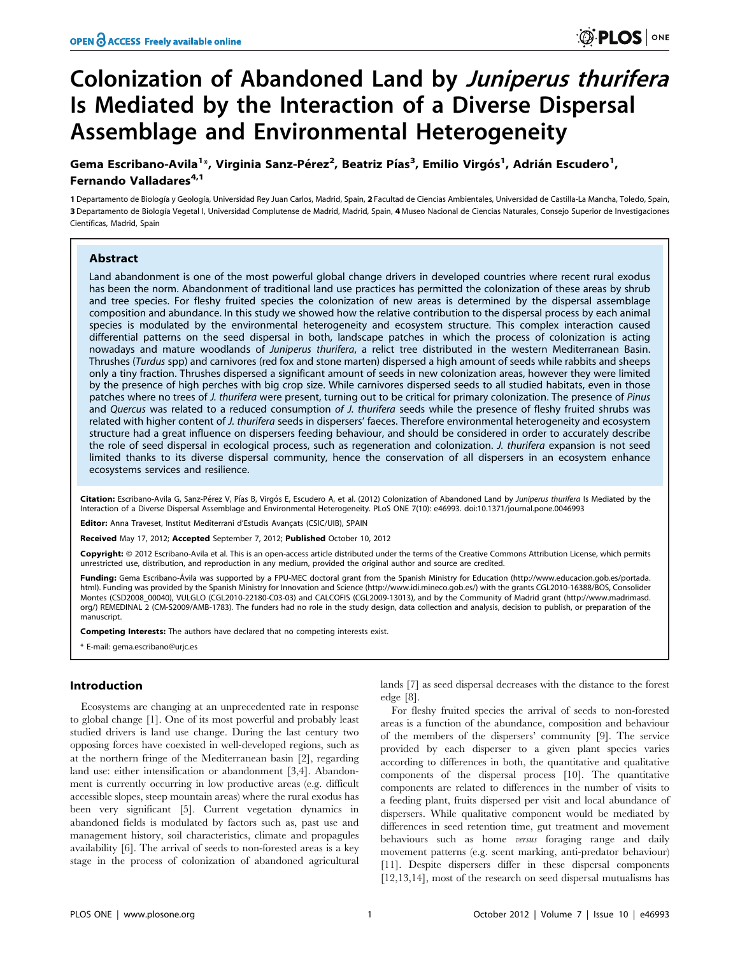# Colonization of Abandoned Land by Juniperus thurifera Is Mediated by the Interaction of a Diverse Dispersal Assemblage and Environmental Heterogeneity

Gema Escribano-Avila<sup>1</sup>\*, Virginia Sanz-Pérez<sup>2</sup>, Beatriz Pías<sup>3</sup>, Emilio Virgós<sup>1</sup>, Adrián Escudero<sup>1</sup>, Fernando Valladares<sup>4,1</sup>

1 Departamento de Biología y Geología, Universidad Rey Juan Carlos, Madrid, Spain, 2 Facultad de Ciencias Ambientales, Universidad de Castilla-La Mancha, Toledo, Spain, 3 Departamento de Biología Vegetal I, Universidad Complutense de Madrid, Madrid, Spain, 4 Museo Nacional de Ciencias Naturales, Consejo Superior de Investigaciones Científicas, Madrid, Spain

## Abstract

Land abandonment is one of the most powerful global change drivers in developed countries where recent rural exodus has been the norm. Abandonment of traditional land use practices has permitted the colonization of these areas by shrub and tree species. For fleshy fruited species the colonization of new areas is determined by the dispersal assemblage composition and abundance. In this study we showed how the relative contribution to the dispersal process by each animal species is modulated by the environmental heterogeneity and ecosystem structure. This complex interaction caused differential patterns on the seed dispersal in both, landscape patches in which the process of colonization is acting nowadays and mature woodlands of Juniperus thurifera, a relict tree distributed in the western Mediterranean Basin. Thrushes (Turdus spp) and carnivores (red fox and stone marten) dispersed a high amount of seeds while rabbits and sheeps only a tiny fraction. Thrushes dispersed a significant amount of seeds in new colonization areas, however they were limited by the presence of high perches with big crop size. While carnivores dispersed seeds to all studied habitats, even in those patches where no trees of J. thurifera were present, turning out to be critical for primary colonization. The presence of Pinus and Quercus was related to a reduced consumption of J. thurifera seeds while the presence of fleshy fruited shrubs was related with higher content of J. thurifera seeds in dispersers' faeces. Therefore environmental heterogeneity and ecosystem structure had a great influence on dispersers feeding behaviour, and should be considered in order to accurately describe the role of seed dispersal in ecological process, such as regeneration and colonization. J. thurifera expansion is not seed limited thanks to its diverse dispersal community, hence the conservation of all dispersers in an ecosystem enhance ecosystems services and resilience.

Citation: Escribano-Avila G, Sanz-Pérez V, Pías B, Virgós E, Escudero A, et al. (2012) Colonization of Abandoned Land by Juniperus thurifera Is Mediated by the Interaction of a Diverse Dispersal Assemblage and Environmental Heterogeneity. PLoS ONE 7(10): e46993. doi:10.1371/journal.pone.0046993

Editor: Anna Traveset, Institut Mediterrani d'Estudis Avançats (CSIC/UIB), SPAIN

Received May 17, 2012; Accepted September 7, 2012; Published October 10, 2012

Copyright: © 2012 Escribano-Avila et al. This is an open-access article distributed under the terms of the Creative Commons Attribution License, which permits unrestricted use, distribution, and reproduction in any medium, provided the original author and source are credited.

Funding: Gema Escribano-Ávila was supported by a FPU-MEC doctoral grant from the Spanish Ministry for Education (http://www.educacion.gob.es/portada. html). Funding was provided by the Spanish Ministry for Innovation and Science (http://www.idi.mineco.gob.es/) with the grants CGL2010-16388/BOS, Consolider Montes (CSD2008\_00040), VULGLO (CGL2010-22180-C03-03) and CALCOFIS (CGL2009-13013), and by the Community of Madrid grant (http://www.madrimasd. org/) REMEDINAL 2 (CM-S2009/AMB-1783). The funders had no role in the study design, data collection and analysis, decision to publish, or preparation of the manuscript.

Competing Interests: The authors have declared that no competing interests exist.

\* E-mail: gema.escribano@urjc.es

## Introduction

Ecosystems are changing at an unprecedented rate in response to global change [1]. One of its most powerful and probably least studied drivers is land use change. During the last century two opposing forces have coexisted in well-developed regions, such as at the northern fringe of the Mediterranean basin [2], regarding land use: either intensification or abandonment [3,4]. Abandonment is currently occurring in low productive areas (e.g. difficult accessible slopes, steep mountain areas) where the rural exodus has been very significant [5]. Current vegetation dynamics in abandoned fields is modulated by factors such as, past use and management history, soil characteristics, climate and propagules availability [6]. The arrival of seeds to non-forested areas is a key stage in the process of colonization of abandoned agricultural

lands [7] as seed dispersal decreases with the distance to the forest edge [8].

For fleshy fruited species the arrival of seeds to non-forested areas is a function of the abundance, composition and behaviour of the members of the dispersers' community [9]. The service provided by each disperser to a given plant species varies according to differences in both, the quantitative and qualitative components of the dispersal process [10]. The quantitative components are related to differences in the number of visits to a feeding plant, fruits dispersed per visit and local abundance of dispersers. While qualitative component would be mediated by differences in seed retention time, gut treatment and movement behaviours such as home versus foraging range and daily movement patterns (e.g. scent marking, anti-predator behaviour) [11]. Despite dispersers differ in these dispersal components [12,13,14], most of the research on seed dispersal mutualisms has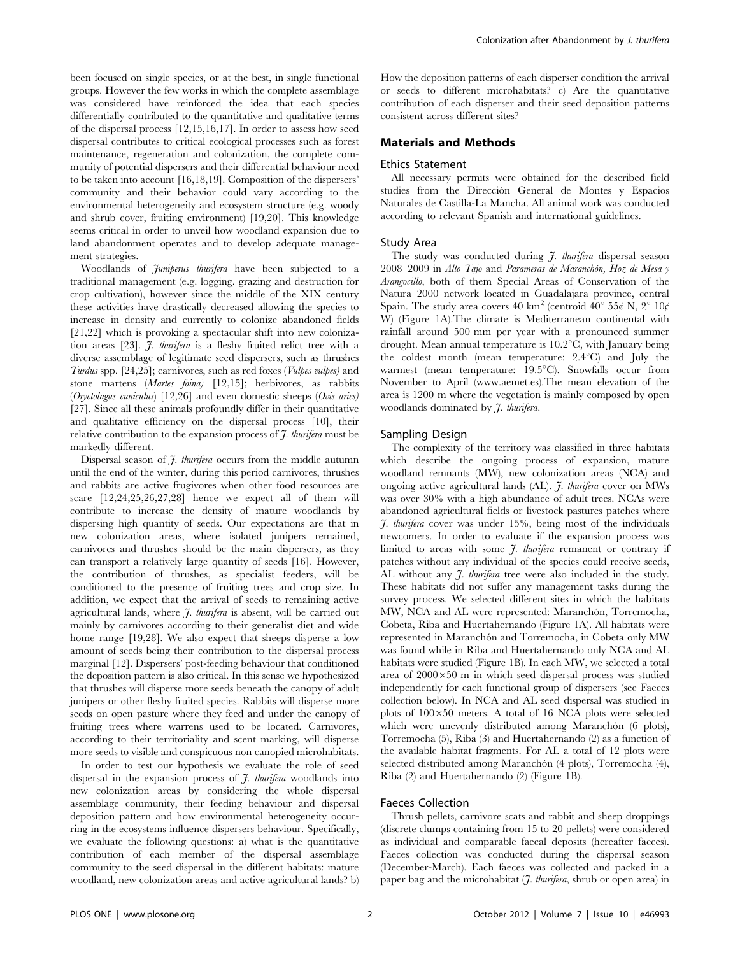been focused on single species, or at the best, in single functional groups. However the few works in which the complete assemblage was considered have reinforced the idea that each species differentially contributed to the quantitative and qualitative terms of the dispersal process [12,15,16,17]. In order to assess how seed dispersal contributes to critical ecological processes such as forest maintenance, regeneration and colonization, the complete community of potential dispersers and their differential behaviour need to be taken into account [16,18,19]. Composition of the dispersers' community and their behavior could vary according to the environmental heterogeneity and ecosystem structure (e.g. woody and shrub cover, fruiting environment) [19,20]. This knowledge seems critical in order to unveil how woodland expansion due to land abandonment operates and to develop adequate management strategies.

Woodlands of Juniperus thurifera have been subjected to a traditional management (e.g. logging, grazing and destruction for crop cultivation), however since the middle of the XIX century these activities have drastically decreased allowing the species to increase in density and currently to colonize abandoned fields [21,22] which is provoking a spectacular shift into new colonization areas [23]. *J. thurifera* is a fleshy fruited relict tree with a diverse assemblage of legitimate seed dispersers, such as thrushes Turdus spp. [24,25]; carnivores, such as red foxes (Vulpes vulpes) and stone martens (Martes foina) [12,15]; herbivores, as rabbits (Oryctolagus cuniculus) [12,26] and even domestic sheeps (Ovis aries) [27]. Since all these animals profoundly differ in their quantitative and qualitative efficiency on the dispersal process [10], their relative contribution to the expansion process of  $\tilde{\jmath}$ , thurifera must be markedly different.

Dispersal season of  $\tilde{J}$ . thurifera occurs from the middle autumn until the end of the winter, during this period carnivores, thrushes and rabbits are active frugivores when other food resources are scare [12,24,25,26,27,28] hence we expect all of them will contribute to increase the density of mature woodlands by dispersing high quantity of seeds. Our expectations are that in new colonization areas, where isolated junipers remained, carnivores and thrushes should be the main dispersers, as they can transport a relatively large quantity of seeds [16]. However, the contribution of thrushes, as specialist feeders, will be conditioned to the presence of fruiting trees and crop size. In addition, we expect that the arrival of seeds to remaining active agricultural lands, where  $\tilde{J}$ . thurifera is absent, will be carried out mainly by carnivores according to their generalist diet and wide home range [19,28]. We also expect that sheeps disperse a low amount of seeds being their contribution to the dispersal process marginal [12]. Dispersers' post-feeding behaviour that conditioned the deposition pattern is also critical. In this sense we hypothesized that thrushes will disperse more seeds beneath the canopy of adult junipers or other fleshy fruited species. Rabbits will disperse more seeds on open pasture where they feed and under the canopy of fruiting trees where warrens used to be located. Carnivores, according to their territoriality and scent marking, will disperse more seeds to visible and conspicuous non canopied microhabitats.

In order to test our hypothesis we evaluate the role of seed dispersal in the expansion process of  $\tilde{J}$ . thurifera woodlands into new colonization areas by considering the whole dispersal assemblage community, their feeding behaviour and dispersal deposition pattern and how environmental heterogeneity occurring in the ecosystems influence dispersers behaviour. Specifically, we evaluate the following questions: a) what is the quantitative contribution of each member of the dispersal assemblage community to the seed dispersal in the different habitats: mature woodland, new colonization areas and active agricultural lands? b) How the deposition patterns of each disperser condition the arrival or seeds to different microhabitats? c) Are the quantitative contribution of each disperser and their seed deposition patterns consistent across different sites?

## Materials and Methods

#### Ethics Statement

All necessary permits were obtained for the described field studies from the Dirección General de Montes y Espacios Naturales de Castilla-La Mancha. All animal work was conducted according to relevant Spanish and international guidelines.

## Study Area

The study was conducted during  $\tilde{J}$ . thurifera dispersal season  $2008-2009$  in Alto Tajo and Parameras de Maranchón, Hoz de Mesa y Arangocillo, both of them Special Areas of Conservation of the Natura 2000 network located in Guadalajara province, central Spain. The study area covers 40 km<sup>2</sup> (centroid 40<sup>o</sup> 55¢ N, 2<sup>o</sup> 10¢ W) (Figure 1A).The climate is Mediterranean continental with rainfall around 500 mm per year with a pronounced summer drought. Mean annual temperature is  $10.2^{\circ}$ C, with January being the coldest month (mean temperature:  $2.4^{\circ}$ C) and July the warmest (mean temperature:  $19.5^{\circ}C$ ). Snowfalls occur from November to April (www.aemet.es).The mean elevation of the area is 1200 m where the vegetation is mainly composed by open woodlands dominated by  $\tilde{J}$ . thurifera.

### Sampling Design

The complexity of the territory was classified in three habitats which describe the ongoing process of expansion, mature woodland remnants (MW), new colonization areas (NCA) and ongoing active agricultural lands (AL).  $\tilde{J}$ . thurifera cover on MWs was over 30% with a high abundance of adult trees. NCAs were abandoned agricultural fields or livestock pastures patches where J. thurifera cover was under 15%, being most of the individuals newcomers. In order to evaluate if the expansion process was limited to areas with some  $\tilde{J}$ . thurifera remanent or contrary if patches without any individual of the species could receive seeds, AL without any  $\tilde{J}$ . thurifera tree were also included in the study. These habitats did not suffer any management tasks during the survey process. We selected different sites in which the habitats MW, NCA and AL were represented: Maranchón, Torremocha, Cobeta, Riba and Huertahernando (Figure 1A). All habitats were represented in Maranchón and Torremocha, in Cobeta only MW was found while in Riba and Huertahernando only NCA and AL habitats were studied (Figure 1B). In each MW, we selected a total area of  $2000\times50$  m in which seed dispersal process was studied independently for each functional group of dispersers (see Faeces collection below). In NCA and AL seed dispersal was studied in plots of  $100\times50$  meters. A total of 16 NCA plots were selected which were unevenly distributed among Maranchón (6 plots), Torremocha (5), Riba (3) and Huertahernando (2) as a function of the available habitat fragments. For AL a total of 12 plots were selected distributed among Maranchón (4 plots), Torremocha (4), Riba (2) and Huertahernando (2) (Figure 1B).

## Faeces Collection

Thrush pellets, carnivore scats and rabbit and sheep droppings (discrete clumps containing from 15 to 20 pellets) were considered as individual and comparable faecal deposits (hereafter faeces). Faeces collection was conducted during the dispersal season (December-March). Each faeces was collected and packed in a paper bag and the microhabitat (*J. thurifera*, shrub or open area) in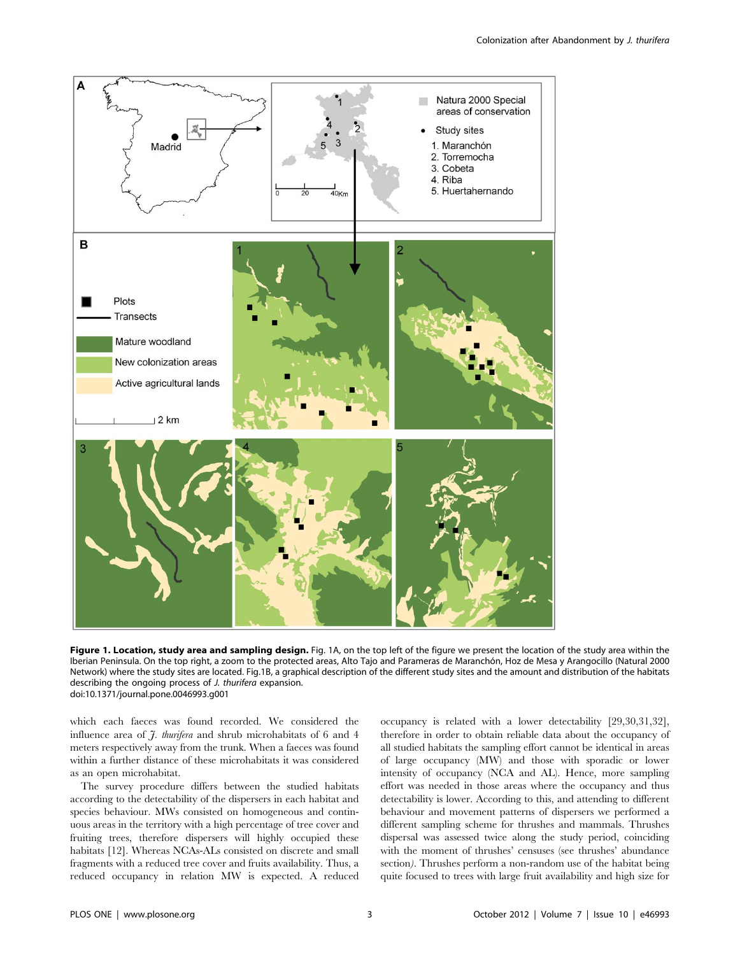

Figure 1. Location, study area and sampling design. Fig. 1A, on the top left of the figure we present the location of the study area within the Iberian Peninsula. On the top right, a zoom to the protected areas, Alto Tajo and Parameras de Maranchón, Hoz de Mesa y Arangocillo (Natural 2000 Network) where the study sites are located. Fig.1B, a graphical description of the different study sites and the amount and distribution of the habitats describing the ongoing process of J. thurifera expansion. doi:10.1371/journal.pone.0046993.g001

which each faeces was found recorded. We considered the influence area of  $\tilde{J}$ . *thurifera* and shrub microhabitats of 6 and 4 meters respectively away from the trunk. When a faeces was found within a further distance of these microhabitats it was considered as an open microhabitat.

The survey procedure differs between the studied habitats according to the detectability of the dispersers in each habitat and species behaviour. MWs consisted on homogeneous and continuous areas in the territory with a high percentage of tree cover and fruiting trees, therefore dispersers will highly occupied these habitats [12]. Whereas NCAs-ALs consisted on discrete and small fragments with a reduced tree cover and fruits availability. Thus, a reduced occupancy in relation MW is expected. A reduced occupancy is related with a lower detectability [29,30,31,32], therefore in order to obtain reliable data about the occupancy of all studied habitats the sampling effort cannot be identical in areas of large occupancy (MW) and those with sporadic or lower intensity of occupancy (NCA and AL). Hence, more sampling effort was needed in those areas where the occupancy and thus detectability is lower. According to this, and attending to different behaviour and movement patterns of dispersers we performed a different sampling scheme for thrushes and mammals. Thrushes dispersal was assessed twice along the study period, coinciding with the moment of thrushes' censuses (see thrushes' abundance section). Thrushes perform a non-random use of the habitat being quite focused to trees with large fruit availability and high size for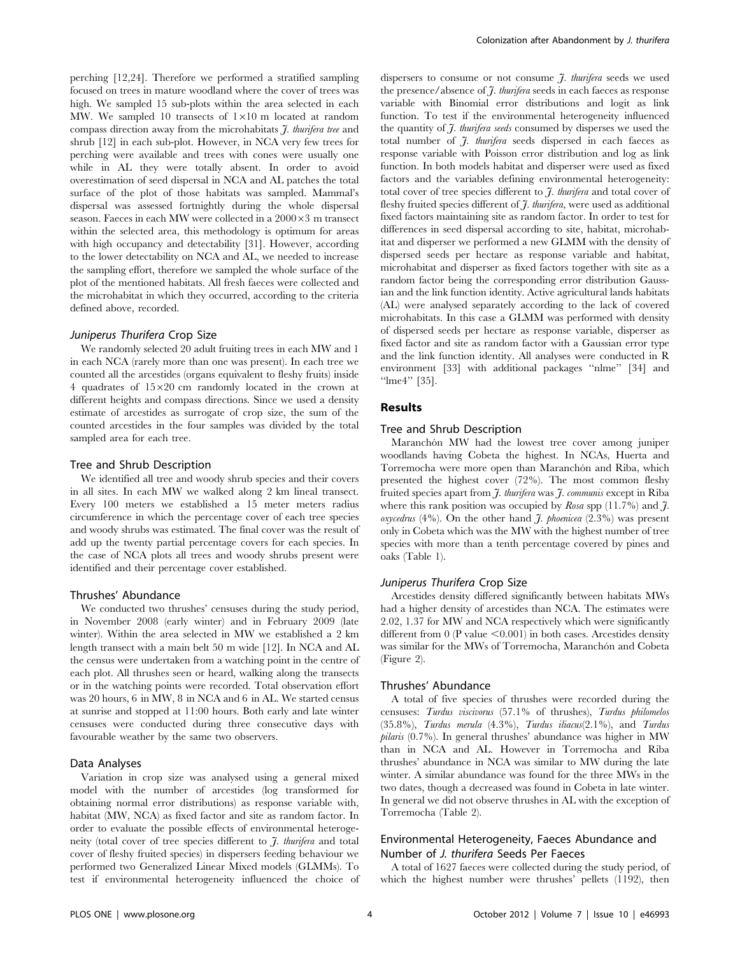perching [12,24]. Therefore we performed a stratified sampling focused on trees in mature woodland where the cover of trees was high. We sampled 15 sub-plots within the area selected in each MW. We sampled 10 transects of  $1\times10$  m located at random compass direction away from the microhabitats  $\tilde{\tau}$ . thurifera tree and shrub [12] in each sub-plot. However, in NCA very few trees for perching were available and trees with cones were usually one while in AL they were totally absent. In order to avoid overestimation of seed dispersal in NCA and AL patches the total surface of the plot of those habitats was sampled. Mammal's dispersal was assessed fortnightly during the whole dispersal season. Faeces in each MW were collected in a  $2000\times3$  m transect within the selected area, this methodology is optimum for areas with high occupancy and detectability [31]. However, according to the lower detectability on NCA and AL, we needed to increase the sampling effort, therefore we sampled the whole surface of the plot of the mentioned habitats. All fresh faeces were collected and the microhabitat in which they occurred, according to the criteria defined above, recorded.

## Juniperus Thurifera Crop Size

We randomly selected 20 adult fruiting trees in each MW and 1 in each NCA (rarely more than one was present). In each tree we counted all the arcestides (organs equivalent to fleshy fruits) inside 4 quadrates of  $15\times20$  cm randomly located in the crown at different heights and compass directions. Since we used a density estimate of arcestides as surrogate of crop size, the sum of the counted arcestides in the four samples was divided by the total sampled area for each tree.

### Tree and Shrub Description

We identified all tree and woody shrub species and their covers in all sites. In each MW we walked along 2 km lineal transect. Every 100 meters we established a 15 meter meters radius circumference in which the percentage cover of each tree species and woody shrubs was estimated. The final cover was the result of add up the twenty partial percentage covers for each species. In the case of NCA plots all trees and woody shrubs present were identified and their percentage cover established.

## Thrushes' Abundance

We conducted two thrushes' censuses during the study period, in November 2008 (early winter) and in February 2009 (late winter). Within the area selected in MW we established a 2 km length transect with a main belt 50 m wide [12]. In NCA and AL the census were undertaken from a watching point in the centre of each plot. All thrushes seen or heard, walking along the transects or in the watching points were recorded. Total observation effort was 20 hours, 6 in MW, 8 in NCA and 6 in AL. We started census at sunrise and stopped at 11:00 hours. Both early and late winter censuses were conducted during three consecutive days with favourable weather by the same two observers.

## Data Analyses

Variation in crop size was analysed using a general mixed model with the number of arcestides (log transformed for obtaining normal error distributions) as response variable with, habitat (MW, NCA) as fixed factor and site as random factor. In order to evaluate the possible effects of environmental heterogeneity (total cover of tree species different to  $\tilde{J}$ . thurfera and total cover of fleshy fruited species) in dispersers feeding behaviour we performed two Generalized Linear Mixed models (GLMMs). To test if environmental heterogeneity influenced the choice of dispersers to consume or not consume  $\tilde{J}$ . thurifera seeds we used the presence/absence of  $\tilde{\jmath}$ . thurifera seeds in each faeces as response variable with Binomial error distributions and logit as link function. To test if the environmental heterogeneity influenced the quantity of  $\tilde{J}$ . thurifera seeds consumed by disperses we used the total number of  $\tilde{J}$ . thurifera seeds dispersed in each faeces as response variable with Poisson error distribution and log as link function. In both models habitat and disperser were used as fixed factors and the variables defining environmental heterogeneity: total cover of tree species different to  $\tilde{J}$ . thurifera and total cover of fleshy fruited species different of  $\tilde{J}$ . thurifera, were used as additional fixed factors maintaining site as random factor. In order to test for differences in seed dispersal according to site, habitat, microhabitat and disperser we performed a new GLMM with the density of dispersed seeds per hectare as response variable and habitat, microhabitat and disperser as fixed factors together with site as a random factor being the corresponding error distribution Gaussian and the link function identity. Active agricultural lands habitats (AL) were analysed separately according to the lack of covered microhabitats. In this case a GLMM was performed with density of dispersed seeds per hectare as response variable, disperser as fixed factor and site as random factor with a Gaussian error type and the link function identity. All analyses were conducted in R environment [33] with additional packages ''nlme'' [34] and "lme4" [35].

## Results

## Tree and Shrub Description

Maranchón MW had the lowest tree cover among juniper woodlands having Cobeta the highest. In NCAs, Huerta and Torremocha were more open than Maranchón and Riba, which presented the highest cover (72%). The most common fleshy fruited species apart from  $\tilde{J}$ . thurifera was  $\tilde{J}$ . communis except in Riba where this rank position was occupied by Rosa spp  $(11.7\%)$  and  $\tilde{J}$ . oxycedrus (4%). On the other hand  $\tilde{J}$ . phoenicea (2.3%) was present only in Cobeta which was the MW with the highest number of tree species with more than a tenth percentage covered by pines and oaks (Table 1).

## Juniperus Thurifera Crop Size

Arcestides density differed significantly between habitats MWs had a higher density of arcestides than NCA. The estimates were 2.02, 1.37 for MW and NCA respectively which were significantly different from  $(0)$  (P value  $\leq 0.001$ ) in both cases. Arcestides density was similar for the MWs of Torremocha, Maranchón and Cobeta (Figure 2).

## Thrushes' Abundance

A total of five species of thrushes were recorded during the censuses: Turdus viscivorus (57.1% of thrushes), Turdus philomelos (35.8%), Turdus merula (4.3%), Turdus iliacus(2.1%), and Turdus pilaris (0.7%). In general thrushes' abundance was higher in MW than in NCA and AL. However in Torremocha and Riba thrushes' abundance in NCA was similar to MW during the late winter. A similar abundance was found for the three MWs in the two dates, though a decreased was found in Cobeta in late winter. In general we did not observe thrushes in AL with the exception of Torremocha (Table 2).

# Environmental Heterogeneity, Faeces Abundance and Number of J. thurifera Seeds Per Faeces

A total of 1627 faeces were collected during the study period, of which the highest number were thrushes' pellets (1192), then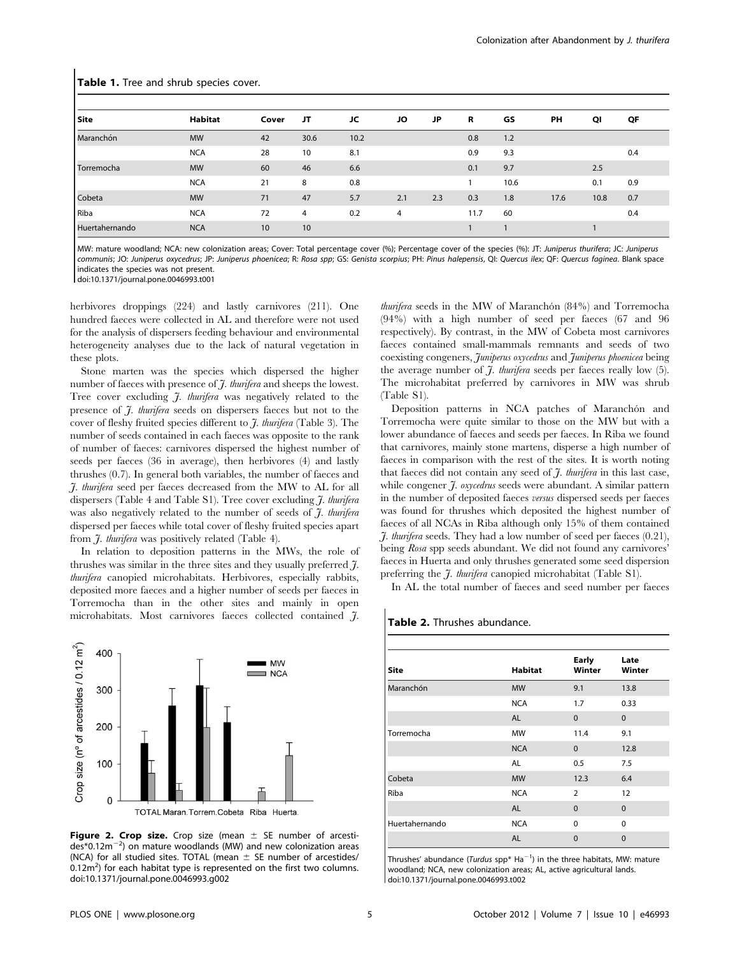#### Table 1. Tree and shrub species cover.

| Site           | <b>Habitat</b> | Cover | JT   | JC   | JO             | JP  | R    | GS   | PH   | QI   | QF  |
|----------------|----------------|-------|------|------|----------------|-----|------|------|------|------|-----|
| Maranchón      | <b>MW</b>      | 42    | 30.6 | 10.2 |                |     | 0.8  | 1.2  |      |      |     |
|                | <b>NCA</b>     | 28    | 10   | 8.1  |                |     | 0.9  | 9.3  |      |      | 0.4 |
| Torremocha     | <b>MW</b>      | 60    | 46   | 6.6  |                |     | 0.1  | 9.7  |      | 2.5  |     |
|                | <b>NCA</b>     | 21    | 8    | 0.8  |                |     |      | 10.6 |      | 0.1  | 0.9 |
| Cobeta         | <b>MW</b>      | 71    | 47   | 5.7  | 2.1            | 2.3 | 0.3  | 1.8  | 17.6 | 10.8 | 0.7 |
| Riba           | <b>NCA</b>     | 72    | 4    | 0.2  | $\overline{4}$ |     | 11.7 | 60   |      |      | 0.4 |
| Huertahernando | <b>NCA</b>     | 10    | 10   |      |                |     |      |      |      |      |     |

MW: mature woodland: NCA: new colonization areas: Cover: Total percentage cover (%); Percentage cover of the species (%): JT: Juniperus thurifera; JC: Juniperus communis; JO: Juniperus oxycedrus; JP: Juniperus phoenicea; R: Rosa spp; GS: Genista scorpius; PH: Pinus halepensis, QI: Quercus ilex; QF: Quercus faginea. Blank space indicates the species was not present.

doi:10.1371/journal.pone.0046993.t001

herbivores droppings (224) and lastly carnivores (211). One hundred faeces were collected in AL and therefore were not used for the analysis of dispersers feeding behaviour and environmental heterogeneity analyses due to the lack of natural vegetation in these plots.

Stone marten was the species which dispersed the higher number of faeces with presence of  $\tilde{\jmath}$ . thurifera and sheeps the lowest. Tree cover excluding  $\tilde{J}$ . *thurifera* was negatively related to the presence of J. thurifera seeds on dispersers faeces but not to the cover of fleshy fruited species different to  $\tilde{\tau}$ . thurifera (Table 3). The number of seeds contained in each faeces was opposite to the rank of number of faeces: carnivores dispersed the highest number of seeds per faeces (36 in average), then herbivores (4) and lastly thrushes (0.7). In general both variables, the number of faeces and J. thurifera seed per faeces decreased from the MW to AL for all dispersers (Table 4 and Table S1). Tree cover excluding  $\tilde{\tau}$ , thurifera was also negatively related to the number of seeds of  $\tilde{\jmath}$ . thurifera dispersed per faeces while total cover of fleshy fruited species apart from  $\tilde{J}$ . thurifera was positively related (Table 4).

In relation to deposition patterns in the MWs, the role of thrushes was similar in the three sites and they usually preferred J. thurifera canopied microhabitats. Herbivores, especially rabbits, deposited more faeces and a higher number of seeds per faeces in Torremocha than in the other sites and mainly in open microhabitats. Most carnivores faeces collected contained J.



Figure 2. Crop size. Crop size (mean  $\pm$  SE number of arcesti $des*0.12\text{m}^{-2}$ ) on mature woodlands (MW) and new colonization areas (NCA) for all studied sites. TOTAL (mean  $\pm$  SE number of arcestides/  $(0.12\text{m}^2)$  for each habitat type is represented on the first two columns. doi:10.1371/journal.pone.0046993.g002

thurifera seeds in the MW of Maranchón  $(84%)$  and Torremocha (94%) with a high number of seed per faeces (67 and 96 respectively). By contrast, in the MW of Cobeta most carnivores faeces contained small-mammals remnants and seeds of two coexisting congeners, Juniperus oxycedrus and Juniperus phoenicea being the average number of  $\tilde{J}$ . thurifera seeds per faeces really low (5). The microhabitat preferred by carnivores in MW was shrub (Table S1).

Deposition patterns in NCA patches of Maranchón and Torremocha were quite similar to those on the MW but with a lower abundance of faeces and seeds per faeces. In Riba we found that carnivores, mainly stone martens, disperse a high number of faeces in comparison with the rest of the sites. It is worth noting that faeces did not contain any seed of  $\tilde{J}$ . thurifera in this last case, while congener  $\tilde{J}$ . oxycedrus seeds were abundant. A similar pattern in the number of deposited faeces versus dispersed seeds per faeces was found for thrushes which deposited the highest number of faeces of all NCAs in Riba although only 15% of them contained  $\tilde{J}$ . thurifera seeds. They had a low number of seed per faeces (0.21), being Rosa spp seeds abundant. We did not found any carnivores' faeces in Huerta and only thrushes generated some seed dispersion preferring the *J. thurifera* canopied microhabitat (Table S1).

In AL the total number of faeces and seed number per faeces

Table 2. Thrushes abundance.

| <b>Site</b>    | <b>Habitat</b> | Early<br>Winter | Late<br>Winter |
|----------------|----------------|-----------------|----------------|
| Maranchón      | <b>MW</b>      | 9.1             | 13.8           |
|                | <b>NCA</b>     | 1.7             | 0.33           |
|                | <b>AL</b>      | $\mathbf{0}$    | $\mathbf{0}$   |
| Torremocha     | <b>MW</b>      | 11.4            | 9.1            |
|                | <b>NCA</b>     | $\Omega$        | 12.8           |
|                | AL             | 0.5             | 7.5            |
| Cobeta         | <b>MW</b>      | 12.3            | 6.4            |
| Riba           | <b>NCA</b>     | $\overline{2}$  | 12             |
|                | <b>AL</b>      | $\Omega$        | $\mathbf{0}$   |
| Huertahernando | <b>NCA</b>     | $\Omega$        | $\Omega$       |
|                | <b>AL</b>      | $\mathbf 0$     | $\mathbf{0}$   |

Thrushes' abundance (Turdus spp\*  $Ha^{-1}$ ) in the three habitats, MW: mature woodland; NCA, new colonization areas; AL, active agricultural lands. doi:10.1371/journal.pone.0046993.t002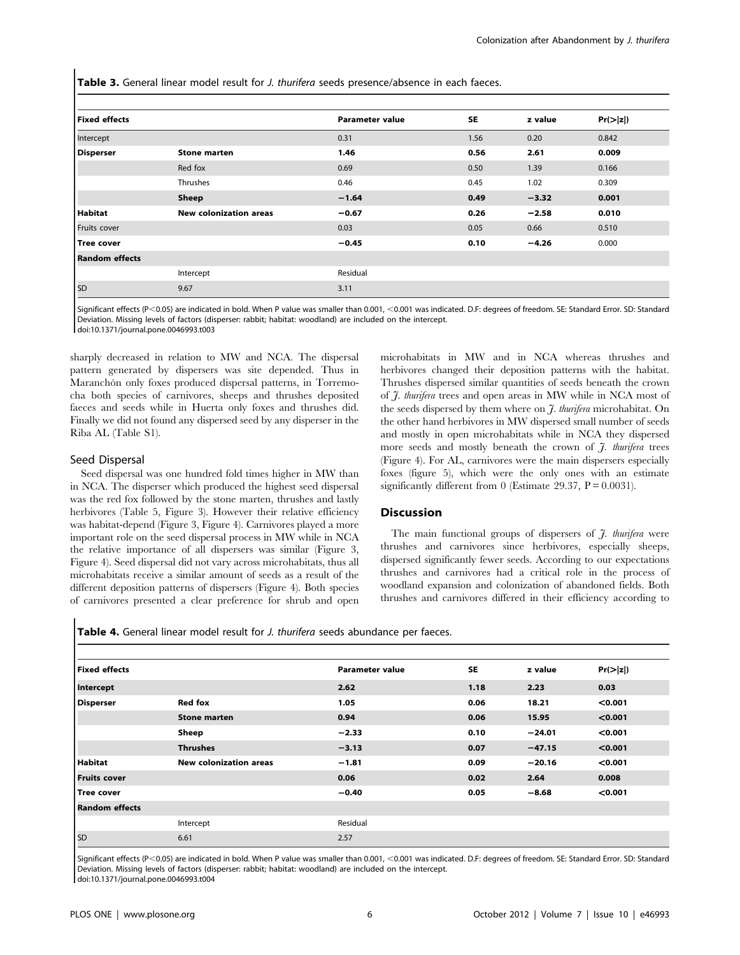Table 3. General linear model result for J. thurifera seeds presence/absence in each faeces.

| <b>Fixed effects</b> |                               | <b>Parameter value</b> | <b>SE</b> | z value | Pr(> z ) |
|----------------------|-------------------------------|------------------------|-----------|---------|----------|
| Intercept            |                               | 0.31                   | 1.56      | 0.20    | 0.842    |
| Disperser            | <b>Stone marten</b>           | 1.46                   | 0.56      | 2.61    | 0.009    |
|                      | Red fox                       | 0.69                   | 0.50      | 1.39    | 0.166    |
|                      | Thrushes                      | 0.46                   | 0.45      | 1.02    | 0.309    |
|                      | Sheep                         | $-1.64$                | 0.49      | $-3.32$ | 0.001    |
| Habitat              | <b>New colonization areas</b> | $-0.67$                | 0.26      | $-2.58$ | 0.010    |
| Fruits cover         |                               | 0.03                   | 0.05      | 0.66    | 0.510    |
| <b>Tree cover</b>    |                               | $-0.45$                | 0.10      | $-4.26$ | 0.000    |
| Random effects       |                               |                        |           |         |          |
|                      | Intercept                     | Residual               |           |         |          |
| SD                   | 9.67                          | 3.11                   |           |         |          |

Significant effects (P<0.05) are indicated in bold. When P value was smaller than 0.001, <0.001 was indicated. D.F: degrees of freedom. SE: Standard Error. SD: Standard Deviation. Missing levels of factors (disperser: rabbit; habitat: woodland) are included on the intercept. doi:10.1371/journal.pone.0046993.t003

sharply decreased in relation to MW and NCA. The dispersal pattern generated by dispersers was site depended. Thus in Maranchón only foxes produced dispersal patterns, in Torremocha both species of carnivores, sheeps and thrushes deposited faeces and seeds while in Huerta only foxes and thrushes did. Finally we did not found any dispersed seed by any disperser in the Riba AL (Table S1).

## Seed Dispersal

Seed dispersal was one hundred fold times higher in MW than in NCA. The disperser which produced the highest seed dispersal was the red fox followed by the stone marten, thrushes and lastly herbivores (Table 5, Figure 3). However their relative efficiency was habitat-depend (Figure 3, Figure 4). Carnivores played a more important role on the seed dispersal process in MW while in NCA the relative importance of all dispersers was similar (Figure 3, Figure 4). Seed dispersal did not vary across microhabitats, thus all microhabitats receive a similar amount of seeds as a result of the different deposition patterns of dispersers (Figure 4). Both species of carnivores presented a clear preference for shrub and open

microhabitats in MW and in NCA whereas thrushes and herbivores changed their deposition patterns with the habitat. Thrushes dispersed similar quantities of seeds beneath the crown of J. thurifera trees and open areas in MW while in NCA most of the seeds dispersed by them where on  $\tilde{J}$ . thurifera microhabitat. On the other hand herbivores in MW dispersed small number of seeds and mostly in open microhabitats while in NCA they dispersed more seeds and mostly beneath the crown of  $\tilde{J}$ . thurifera trees (Figure 4). For AL, carnivores were the main dispersers especially foxes (figure 5), which were the only ones with an estimate significantly different from 0 (Estimate 29.37,  $P = 0.0031$ ).

## Discussion

The main functional groups of dispersers of  $\tilde{J}$ . thurifera were thrushes and carnivores since herbivores, especially sheeps, dispersed significantly fewer seeds. According to our expectations thrushes and carnivores had a critical role in the process of woodland expansion and colonization of abandoned fields. Both thrushes and carnivores differed in their efficiency according to

Table 4. General linear model result for J. thurifera seeds abundance per faeces.

| <b>Fixed effects</b>  |                               | <b>Parameter value</b> | SE   | z value  | Pr(> z ) |
|-----------------------|-------------------------------|------------------------|------|----------|----------|
| Intercept             |                               | 2.62                   | 1.18 | 2.23     | 0.03     |
| <b>Disperser</b>      | <b>Red fox</b>                | 1.05                   | 0.06 | 18.21    | < 0.001  |
|                       | <b>Stone marten</b>           | 0.94                   | 0.06 | 15.95    | < 0.001  |
|                       | Sheep                         | $-2.33$                | 0.10 | $-24.01$ | < 0.001  |
|                       | <b>Thrushes</b>               | $-3.13$                | 0.07 | $-47.15$ | < 0.001  |
| <b>Habitat</b>        | <b>New colonization areas</b> | $-1.81$                | 0.09 | $-20.16$ | < 0.001  |
| <b>Fruits cover</b>   |                               | 0.06                   | 0.02 | 2.64     | 0.008    |
| <b>Tree cover</b>     |                               | $-0.40$                | 0.05 | $-8.68$  | < 0.001  |
| <b>Random effects</b> |                               |                        |      |          |          |
|                       | Intercept                     | Residual               |      |          |          |
| <b>SD</b>             | 6.61                          | 2.57                   |      |          |          |

Significant effects (P<0.05) are indicated in bold. When P value was smaller than 0.001, <0.001 was indicated. D.F: degrees of freedom. SE: Standard Error. SD: Standard Deviation. Missing levels of factors (disperser: rabbit; habitat: woodland) are included on the intercept. doi:10.1371/journal.pone.0046993.t004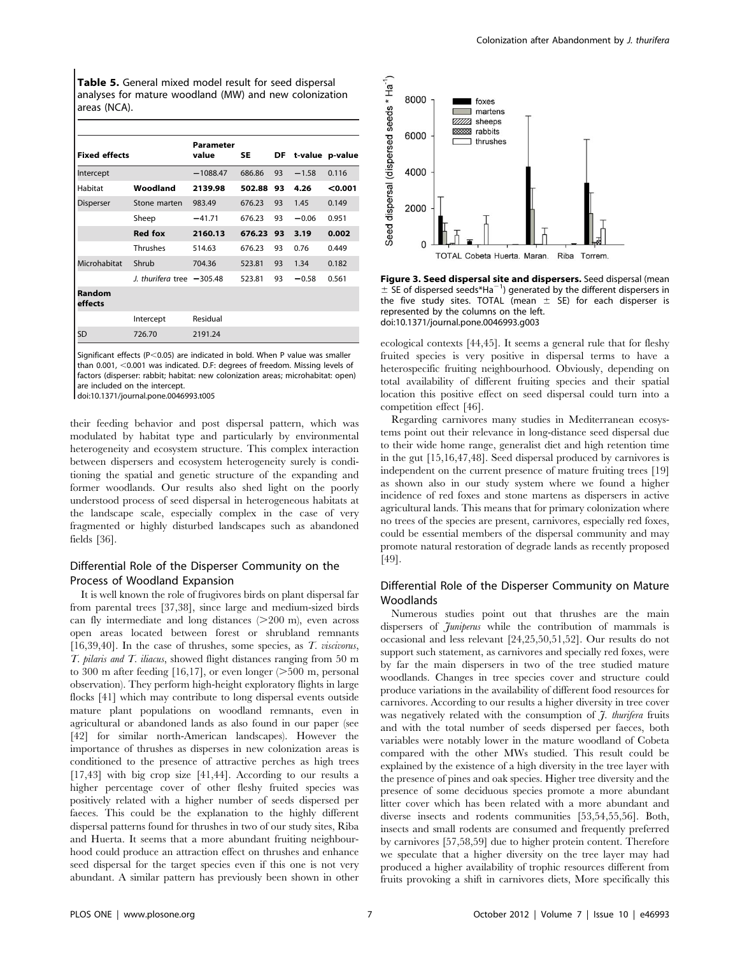Table 5. General mixed model result for seed dispersal analyses for mature woodland (MW) and new colonization areas (NCA).

| <b>Fixed effects</b> |                             | Parameter<br>value | SE     | DF |         | t-value p-value |
|----------------------|-----------------------------|--------------------|--------|----|---------|-----------------|
| Intercept            |                             | $-1088.47$         | 686.86 | 93 | $-1.58$ | 0.116           |
| Habitat              | Woodland                    | 2139.98            | 502.88 | 93 | 4.26    | < 0.001         |
| <b>Disperser</b>     | Stone marten                | 983.49             | 676.23 | 93 | 1.45    | 0.149           |
|                      | Sheep                       | $-41.71$           | 676.23 | 93 | $-0.06$ | 0.951           |
|                      | <b>Red fox</b>              | 2160.13            | 676.23 | 93 | 3.19    | 0.002           |
|                      | Thrushes                    | 514.63             | 676.23 | 93 | 0.76    | 0.449           |
| Microhabitat         | Shrub                       | 704.36             | 523.81 | 93 | 1.34    | 0.182           |
|                      | J. thurifera tree $-305.48$ |                    | 523.81 | 93 | $-0.58$ | 0.561           |
| Random<br>effects    |                             |                    |        |    |         |                 |
|                      | Intercept                   | Residual           |        |    |         |                 |
| <b>SD</b>            | 726.70                      | 2191.24            |        |    |         |                 |

Significant effects ( $P$ <0.05) are indicated in bold. When P value was smaller than 0.001,  $<$  0.001 was indicated. D.F: degrees of freedom. Missing levels of factors (disperser: rabbit; habitat: new colonization areas; microhabitat: open) are included on the intercept.

doi:10.1371/journal.pone.0046993.t005

their feeding behavior and post dispersal pattern, which was modulated by habitat type and particularly by environmental heterogeneity and ecosystem structure. This complex interaction between dispersers and ecosystem heterogeneity surely is conditioning the spatial and genetic structure of the expanding and former woodlands. Our results also shed light on the poorly understood process of seed dispersal in heterogeneous habitats at the landscape scale, especially complex in the case of very fragmented or highly disturbed landscapes such as abandoned fields [36].

# Differential Role of the Disperser Community on the Process of Woodland Expansion

It is well known the role of frugivores birds on plant dispersal far from parental trees [37,38], since large and medium-sized birds can fly intermediate and long distances  $(>200 \text{ m})$ , even across open areas located between forest or shrubland remnants [16,39,40]. In the case of thrushes, some species, as T. viscivorus, T. pilaris and T. iliacus, showed flight distances ranging from 50 m to 300 m after feeding  $[16,17]$ , or even longer ( $>500$  m, personal observation). They perform high-height exploratory flights in large flocks [41] which may contribute to long dispersal events outside mature plant populations on woodland remnants, even in agricultural or abandoned lands as also found in our paper (see [42] for similar north-American landscapes). However the importance of thrushes as disperses in new colonization areas is conditioned to the presence of attractive perches as high trees [17,43] with big crop size [41,44]. According to our results a higher percentage cover of other fleshy fruited species was positively related with a higher number of seeds dispersed per faeces. This could be the explanation to the highly different dispersal patterns found for thrushes in two of our study sites, Riba and Huerta. It seems that a more abundant fruiting neighbourhood could produce an attraction effect on thrushes and enhance seed dispersal for the target species even if this one is not very abundant. A similar pattern has previously been shown in other



Figure 3. Seed dispersal site and dispersers. Seed dispersal (mean  $\pm$  SE of dispersed seeds\*Ha<sup>-1</sup>) generated by the different dispersers in the five study sites. TOTAL (mean  $\pm$  SE) for each disperser is represented by the columns on the left. doi:10.1371/journal.pone.0046993.g003

ecological contexts [44,45]. It seems a general rule that for fleshy fruited species is very positive in dispersal terms to have a heterospecific fruiting neighbourhood. Obviously, depending on total availability of different fruiting species and their spatial location this positive effect on seed dispersal could turn into a competition effect [46].

Regarding carnivores many studies in Mediterranean ecosystems point out their relevance in long-distance seed dispersal due to their wide home range, generalist diet and high retention time in the gut [15,16,47,48]. Seed dispersal produced by carnivores is independent on the current presence of mature fruiting trees [19] as shown also in our study system where we found a higher incidence of red foxes and stone martens as dispersers in active agricultural lands. This means that for primary colonization where no trees of the species are present, carnivores, especially red foxes, could be essential members of the dispersal community and may promote natural restoration of degrade lands as recently proposed [49].

# Differential Role of the Disperser Community on Mature Woodlands

Numerous studies point out that thrushes are the main dispersers of *Juniperus* while the contribution of mammals is occasional and less relevant [24,25,50,51,52]. Our results do not support such statement, as carnivores and specially red foxes, were by far the main dispersers in two of the tree studied mature woodlands. Changes in tree species cover and structure could produce variations in the availability of different food resources for carnivores. According to our results a higher diversity in tree cover was negatively related with the consumption of  $\tilde{J}$ . thurifera fruits and with the total number of seeds dispersed per faeces, both variables were notably lower in the mature woodland of Cobeta compared with the other MWs studied. This result could be explained by the existence of a high diversity in the tree layer with the presence of pines and oak species. Higher tree diversity and the presence of some deciduous species promote a more abundant litter cover which has been related with a more abundant and diverse insects and rodents communities [53,54,55,56]. Both, insects and small rodents are consumed and frequently preferred by carnivores [57,58,59] due to higher protein content. Therefore we speculate that a higher diversity on the tree layer may had produced a higher availability of trophic resources different from fruits provoking a shift in carnivores diets, More specifically this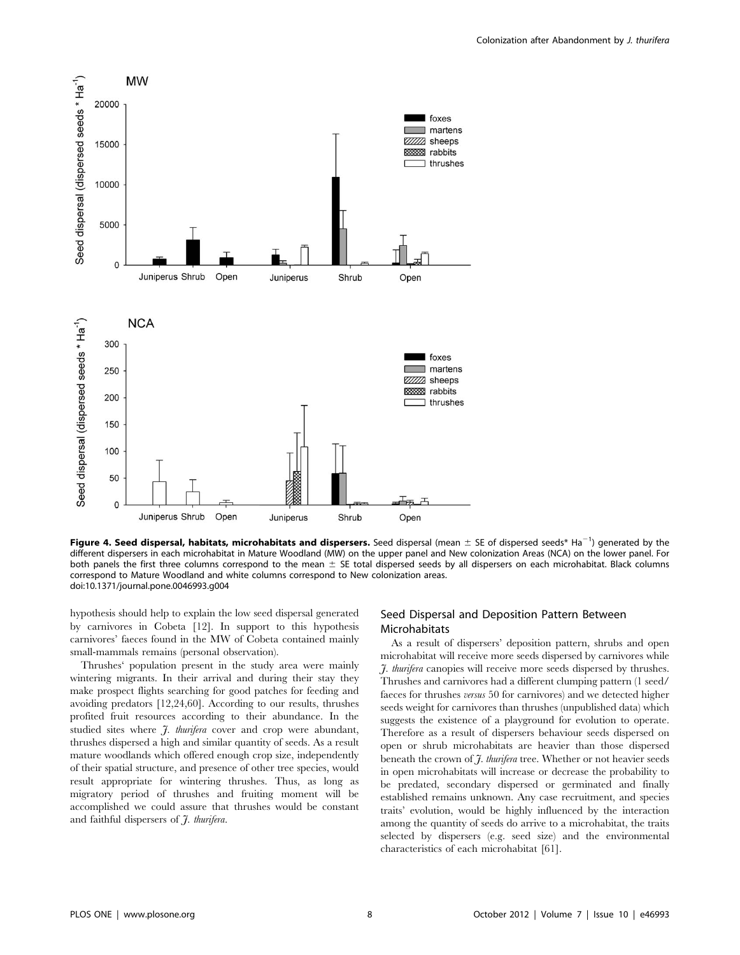

Figure 4. Seed dispersal, habitats, microhabitats and dispersers. Seed dispersal (mean  $\pm$  SE of dispersed seeds\* Ha<sup>-1</sup>) generated by the different dispersers in each microhabitat in Mature Woodland (MW) on the upper panel and New colonization Areas (NCA) on the lower panel. For both panels the first three columns correspond to the mean  $\pm$  SE total dispersed seeds by all dispersers on each microhabitat. Black columns correspond to Mature Woodland and white columns correspond to New colonization areas. doi:10.1371/journal.pone.0046993.g004

hypothesis should help to explain the low seed dispersal generated by carnivores in Cobeta [12]. In support to this hypothesis carnivores' faeces found in the MW of Cobeta contained mainly small-mammals remains (personal observation).

Thrushes' population present in the study area were mainly wintering migrants. In their arrival and during their stay they make prospect flights searching for good patches for feeding and avoiding predators [12,24,60]. According to our results, thrushes profited fruit resources according to their abundance. In the studied sites where  $\tilde{J}$ . thurifera cover and crop were abundant, thrushes dispersed a high and similar quantity of seeds. As a result mature woodlands which offered enough crop size, independently of their spatial structure, and presence of other tree species, would result appropriate for wintering thrushes. Thus, as long as migratory period of thrushes and fruiting moment will be accomplished we could assure that thrushes would be constant and faithful dispersers of  $\tilde{J}$ . thurifera.

# Seed Dispersal and Deposition Pattern Between Microhabitats

As a result of dispersers' deposition pattern, shrubs and open microhabitat will receive more seeds dispersed by carnivores while J. thurifera canopies will receive more seeds dispersed by thrushes. Thrushes and carnivores had a different clumping pattern (1 seed/ faeces for thrushes versus 50 for carnivores) and we detected higher seeds weight for carnivores than thrushes (unpublished data) which suggests the existence of a playground for evolution to operate. Therefore as a result of dispersers behaviour seeds dispersed on open or shrub microhabitats are heavier than those dispersed beneath the crown of  $\tilde{J}$ . thurifera tree. Whether or not heavier seeds in open microhabitats will increase or decrease the probability to be predated, secondary dispersed or germinated and finally established remains unknown. Any case recruitment, and species traits' evolution, would be highly influenced by the interaction among the quantity of seeds do arrive to a microhabitat, the traits selected by dispersers (e.g. seed size) and the environmental characteristics of each microhabitat [61].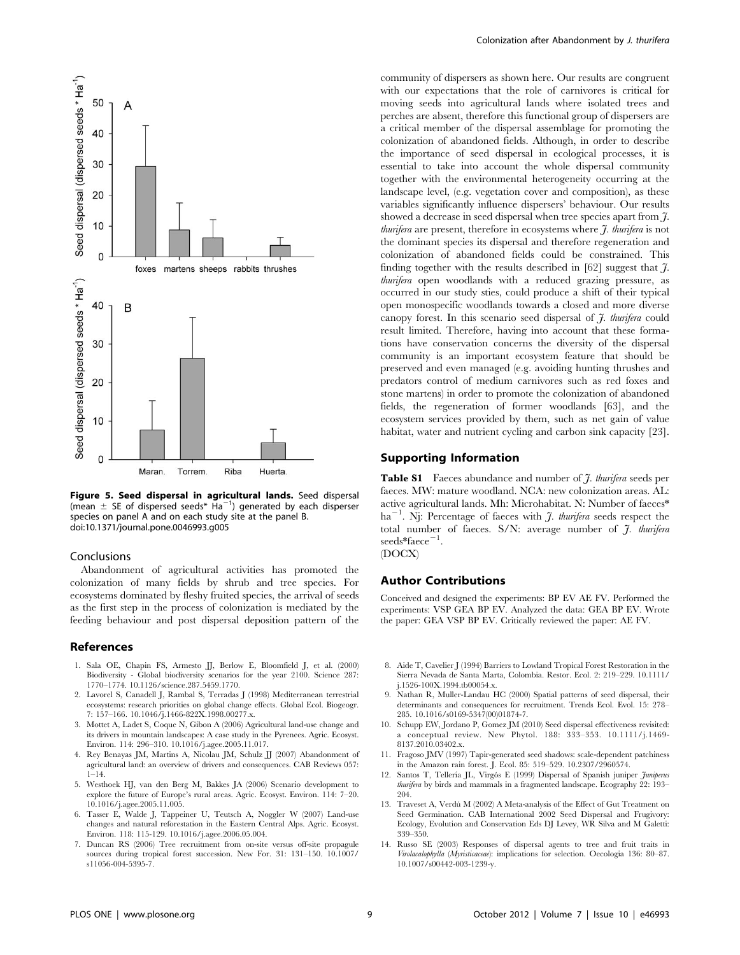

Figure 5. Seed dispersal in agricultural lands. Seed dispersal (mean  $\pm$  SE of dispersed seeds\*  $\text{Ha}^{-1}$ ) generated by each disperser species on panel A and on each study site at the panel B. doi:10.1371/journal.pone.0046993.g005

### Conclusions

Abandonment of agricultural activities has promoted the colonization of many fields by shrub and tree species. For ecosystems dominated by fleshy fruited species, the arrival of seeds as the first step in the process of colonization is mediated by the feeding behaviour and post dispersal deposition pattern of the

## References

- 1. Sala OE, Chapin FS, Armesto JJ, Berlow E, Bloomfield J, et al. (2000) Biodiversity - Global biodiversity scenarios for the year 2100. Science 287: 1770–1774. 10.1126/science.287.5459.1770.
- 2. Lavorel S, Canadell J, Rambal S, Terradas J (1998) Mediterranean terrestrial ecosystems: research priorities on global change effects. Global Ecol. Biogeogr. 7: 157–166. 10.1046/j.1466-822X.1998.00277.x.
- 3. Mottet A, Ladet S, Coque N, Gibon A (2006) Agricultural land-use change and its drivers in mountain landscapes: A case study in the Pyrenees. Agric. Ecosyst. Environ. 114: 296–310. 10.1016/j.agee.2005.11.017.
- 4. Rey Benayas JM, Martins A, Nicolau JM, Schulz JJ (2007) Abandonment of agricultural land: an overview of drivers and consequences. CAB Reviews 057: 1–14.
- 5. Westhoek HJ, van den Berg M, Bakkes JA (2006) Scenario development to explore the future of Europe's rural areas. Agric. Ecosyst. Environ. 114: 7–20. 10.1016/j.agee.2005.11.005.
- 6. Tasser E, Walde J, Tappeiner U, Teutsch A, Noggler W (2007) Land-use changes and natural reforestation in the Eastern Central Alps. Agric. Ecosyst. Environ. 118: 115-129. 10.1016/j.agee.2006.05.004.
- 7. Duncan RS (2006) Tree recruitment from on-site versus off-site propagule sources during tropical forest succession. New For. 31: 131–150. 10.1007/ s11056-004-5395-7.

community of dispersers as shown here. Our results are congruent with our expectations that the role of carnivores is critical for moving seeds into agricultural lands where isolated trees and perches are absent, therefore this functional group of dispersers are a critical member of the dispersal assemblage for promoting the colonization of abandoned fields. Although, in order to describe the importance of seed dispersal in ecological processes, it is essential to take into account the whole dispersal community together with the environmental heterogeneity occurring at the landscape level, (e.g. vegetation cover and composition), as these variables significantly influence dispersers' behaviour. Our results showed a decrease in seed dispersal when tree species apart from J. thurifera are present, therefore in ecosystems where  $\tilde{J}$ . thurifera is not the dominant species its dispersal and therefore regeneration and colonization of abandoned fields could be constrained. This finding together with the results described in  $[62]$  suggest that  $\tilde{7}$ . thurifera open woodlands with a reduced grazing pressure, as occurred in our study sties, could produce a shift of their typical open monospecific woodlands towards a closed and more diverse canopy forest. In this scenario seed dispersal of  $\tilde{\tau}$ , thurifera could result limited. Therefore, having into account that these formations have conservation concerns the diversity of the dispersal community is an important ecosystem feature that should be preserved and even managed (e.g. avoiding hunting thrushes and predators control of medium carnivores such as red foxes and stone martens) in order to promote the colonization of abandoned fields, the regeneration of former woodlands [63], and the ecosystem services provided by them, such as net gain of value habitat, water and nutrient cycling and carbon sink capacity [23].

### Supporting Information

Table S1 Faeces abundance and number of  $\tilde{j}$ . thurifera seeds per faeces. MW: mature woodland. NCA: new colonization areas. AL: active agricultural lands. Mh: Microhabitat. N: Number of faeces\* ha<sup>-1</sup>. Nj: Percentage of faeces with  $\tilde{J}$ . thurifera seeds respect the total number of faeces. S/N: average number of  $\tilde{t}$ , thurifera  $seeds*face^{-1}$ .

(DOCX)

# Author Contributions

Conceived and designed the experiments: BP EV AE FV. Performed the experiments: VSP GEA BP EV. Analyzed the data: GEA BP EV. Wrote the paper: GEA VSP BP EV. Critically reviewed the paper: AE FV.

- 8. Aide T, Cavelier J (1994) Barriers to Lowland Tropical Forest Restoration in the Sierra Nevada de Santa Marta, Colombia. Restor. Ecol. 2: 219–229. 10.1111/ j.1526-100X.1994.tb00054.x.
- 9. Nathan R, Muller-Landau HC (2000) Spatial patterns of seed dispersal, their determinants and consequences for recruitment. Trends Ecol. Evol. 15: 278– 285. 10.1016/s0169-5347(00)01874-7.
- 10. Schupp EW, Jordano P, Gomez JM (2010) Seed dispersal effectiveness revisited: a conceptual review. New Phytol. 188: 333–353. 10.1111/j.1469- 8137.2010.03402.x.
- 11. Fragoso JMV (1997) Tapir-generated seed shadows: scale-dependent patchiness in the Amazon rain forest. J. Ecol. 85: 519–529. 10.2307/2960574.
- 12. Santos T, Tellería JL, Virgós E (1999) Dispersal of Spanish juniper Juniperus thurifera by birds and mammals in a fragmented landscape. Ecography 22: 193– 204.
- 13. Traveset A, Verdú M (2002) A Meta-analysis of the Effect of Gut Treatment on Seed Germination. CAB International 2002 Seed Dispersal and Frugivory: Ecology, Evolution and Conservation Eds DJ Levey, WR Silva and M Galetti: 339–350.
- 14. Russo SE (2003) Responses of dispersal agents to tree and fruit traits in Virolacalophylla (Myristicaceae): implications for selection. Oecologia 136: 80–87. 10.1007/s00442-003-1239-y.